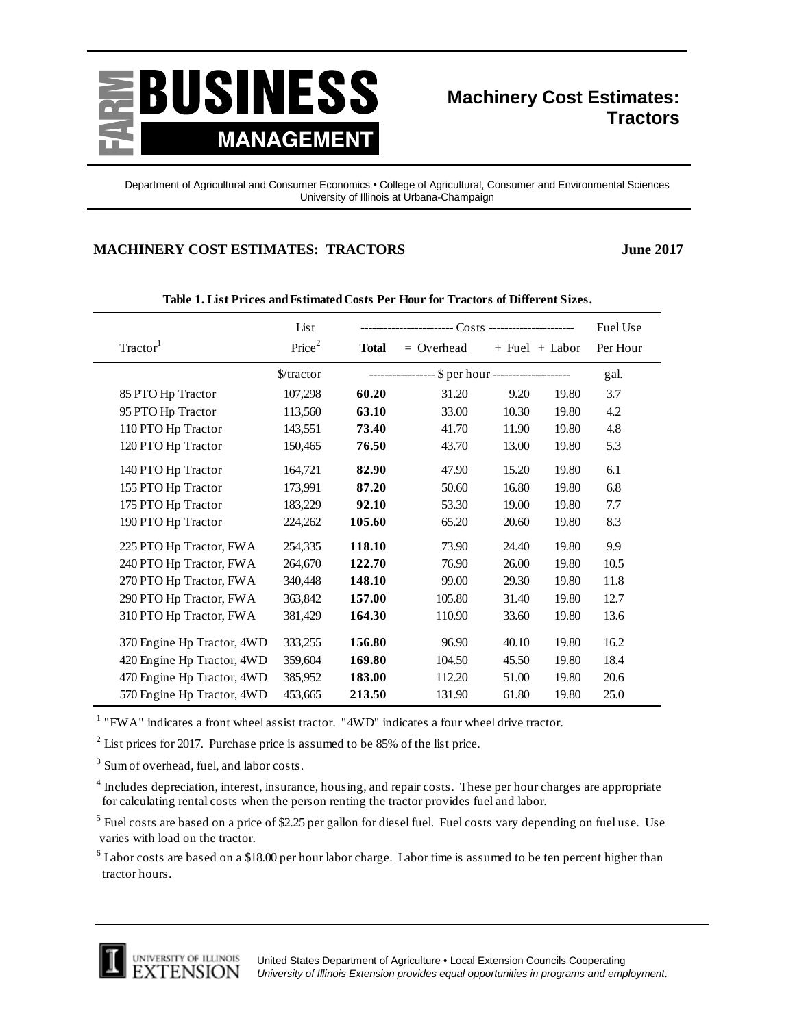

# **Machinery Cost Estimates: Tractors**

Department of Agricultural and Consumer Economics • College of Agricultural, Consumer and Environmental Sciences University of Illinois at Urbana-Champaign

# **MACHINERY COST ESTIMATES: TRACTORS June 2017**

| Tractor <sup>1</sup>       | List<br>Price <sup>2</sup> | <b>Total</b> | $=$ Overhead | $+$ Fuel $+$ Labor                                 | Fuel Use<br>Per Hour |
|----------------------------|----------------------------|--------------|--------------|----------------------------------------------------|----------------------|
|                            | \$/tractor                 |              |              | ----------------- \$ per hour -------------------- | gal.                 |
| 85 PTO Hp Tractor          | 107,298                    | 60.20        | 31.20        | 9.20<br>19.80                                      | 3.7                  |
| 95 PTO Hp Tractor          | 113,560                    | 63.10        | 33.00        | 10.30<br>19.80                                     | 4.2                  |
| 110 PTO Hp Tractor         | 143,551                    | 73.40        | 41.70        | 11.90<br>19.80                                     | 4.8                  |
| 120 PTO Hp Tractor         | 150,465                    | 76.50        | 43.70        | 13.00<br>19.80                                     | 5.3                  |
| 140 PTO Hp Tractor         | 164,721                    | 82.90        | 47.90        | 15.20<br>19.80                                     | 6.1                  |
| 155 PTO Hp Tractor         | 173,991                    | 87.20        | 50.60        | 16.80<br>19.80                                     | 6.8                  |
| 175 PTO Hp Tractor         | 183,229                    | 92.10        | 53.30        | 19.00<br>19.80                                     | 7.7                  |
| 190 PTO Hp Tractor         | 224,262                    | 105.60       | 65.20        | 20.60<br>19.80                                     | 8.3                  |
| 225 PTO Hp Tractor, FWA    | 254,335                    | 118.10       | 73.90        | 24.40<br>19.80                                     | 9.9                  |
| 240 PTO Hp Tractor, FWA    | 264,670                    | 122.70       | 76.90        | 26.00<br>19.80                                     | 10.5                 |
| 270 PTO Hp Tractor, FWA    | 340,448                    | 148.10       | 99.00        | 29.30<br>19.80                                     | 11.8                 |
| 290 PTO Hp Tractor, FWA    | 363,842                    | 157.00       | 105.80       | 31.40<br>19.80                                     | 12.7                 |
| 310 PTO Hp Tractor, FWA    | 381,429                    | 164.30       | 110.90       | 33.60<br>19.80                                     | 13.6                 |
| 370 Engine Hp Tractor, 4WD | 333,255                    | 156.80       | 96.90        | 40.10<br>19.80                                     | 16.2                 |
| 420 Engine Hp Tractor, 4WD | 359,604                    | 169.80       | 104.50       | 45.50<br>19.80                                     | 18.4                 |
| 470 Engine Hp Tractor, 4WD | 385,952                    | 183.00       | 112.20       | 51.00<br>19.80                                     | 20.6                 |
| 570 Engine Hp Tractor, 4WD | 453,665                    | 213.50       | 131.90       | 61.80<br>19.80                                     | 25.0                 |

**Table 1. List Prices and Estimated Costs Per Hour for Tractors of Different Sizes.**

 $1$  "FWA" indicates a front wheel assist tractor. "4WD" indicates a four wheel drive tractor.

 $2$  List prices for 2017. Purchase price is assumed to be 85% of the list price.

<sup>3</sup> Sum of overhead, fuel, and labor costs.

<sup>4</sup> Includes depreciation, interest, insurance, housing, and repair costs. These per hour charges are appropriate for calculating rental costs when the person renting the tractor provides fuel and labor.

 $<sup>5</sup>$  Fuel costs are based on a price of \$2.25 per gallon for diesel fuel. Fuel costs vary depending on fuel use. Use</sup> varies with load on the tractor.

 $6$  Labor costs are based on a \$18.00 per hour labor charge. Labor time is assumed to be ten percent higher than tractor hours.

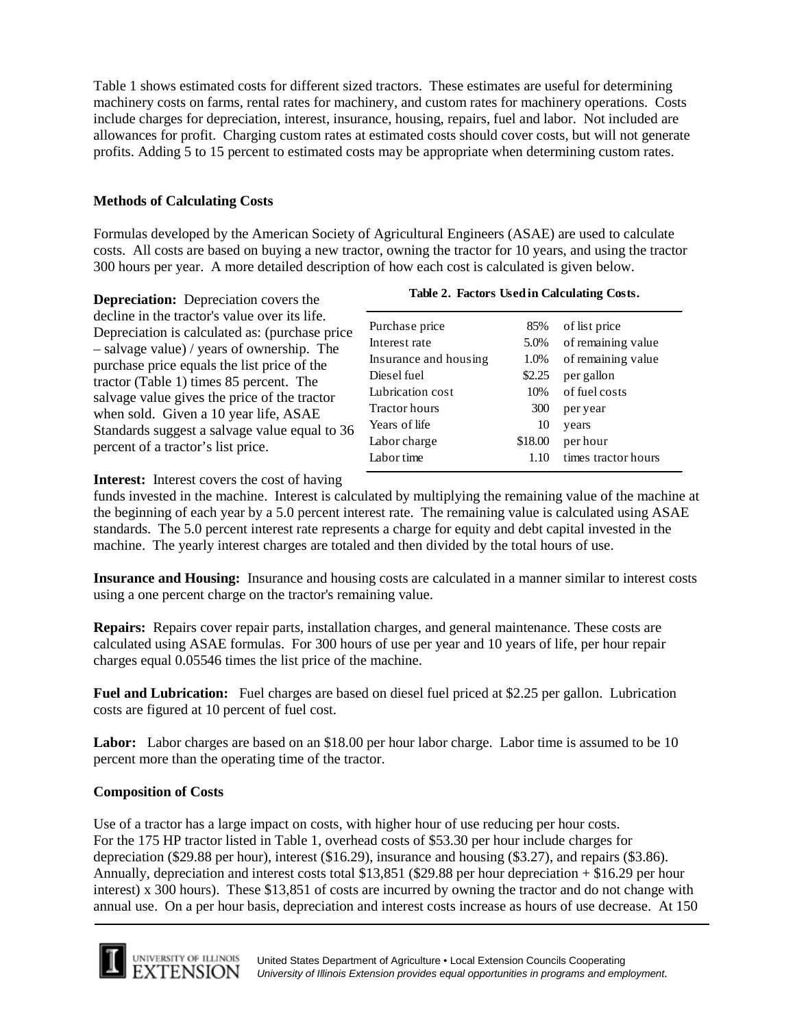Table 1 shows estimated costs for different sized tractors. These estimates are useful for determining machinery costs on farms, rental rates for machinery, and custom rates for machinery operations. Costs include charges for depreciation, interest, insurance, housing, repairs, fuel and labor. Not included are allowances for profit. Charging custom rates at estimated costs should cover costs, but will not generate profits. Adding 5 to 15 percent to estimated costs may be appropriate when determining custom rates.

### **Methods of Calculating Costs**

Formulas developed by the American Society of Agricultural Engineers (ASAE) are used to calculate costs. All costs are based on buying a new tractor, owning the tractor for 10 years, and using the tractor 300 hours per year. A more detailed description of how each cost is calculated is given below.

**Depreciation:** Depreciation covers the decline in the tractor's value over its life. Depreciation is calculated as: (purchase price – salvage value) / years of ownership. The purchase price equals the list price of the tractor (Table 1) times 85 percent. The salvage value gives the price of the tractor when sold. Given a 10 year life, ASAE Standards suggest a salvage value equal to 36 percent of a tractor's list price.

#### **Table 2. Factors Used in Calculating Costs.**

| Purchase price        | 85%     | of list price       |
|-----------------------|---------|---------------------|
| Interest rate         | 5.0%    | of remaining value  |
| Insurance and housing | 1.0%    | of remaining value  |
| Diesel fuel           | \$2.25  | per gallon          |
| Lubrication cost      | 10%     | of fuel costs       |
| <b>Tractor hours</b>  | 300     | per year            |
| Years of life         | 10      | years               |
| Labor charge          | \$18.00 | per hour            |
| Labor time            | 1 10    | times tractor hours |
|                       |         |                     |

**Interest:** Interest covers the cost of having

funds invested in the machine. Interest is calculated by multiplying the remaining value of the machine at the beginning of each year by a 5.0 percent interest rate. The remaining value is calculated using ASAE standards. The 5.0 percent interest rate represents a charge for equity and debt capital invested in the machine. The yearly interest charges are totaled and then divided by the total hours of use.

**Insurance and Housing:** Insurance and housing costs are calculated in a manner similar to interest costs using a one percent charge on the tractor's remaining value.

**Repairs:** Repairs cover repair parts, installation charges, and general maintenance. These costs are calculated using ASAE formulas. For 300 hours of use per year and 10 years of life, per hour repair charges equal 0.05546 times the list price of the machine.

**Fuel and Lubrication:** Fuel charges are based on diesel fuel priced at \$2.25 per gallon. Lubrication costs are figured at 10 percent of fuel cost.

**Labor:** Labor charges are based on an \$18.00 per hour labor charge. Labor time is assumed to be 10 percent more than the operating time of the tractor.

## **Composition of Costs**

Use of a tractor has a large impact on costs, with higher hour of use reducing per hour costs. For the 175 HP tractor listed in Table 1, overhead costs of \$53.30 per hour include charges for depreciation (\$29.88 per hour), interest (\$16.29), insurance and housing (\$3.27), and repairs (\$3.86). Annually, depreciation and interest costs total \$13,851 (\$29.88 per hour depreciation + \$16.29 per hour interest) x 300 hours). These \$13,851 of costs are incurred by owning the tractor and do not change with annual use. On a per hour basis, depreciation and interest costs increase as hours of use decrease. At 150